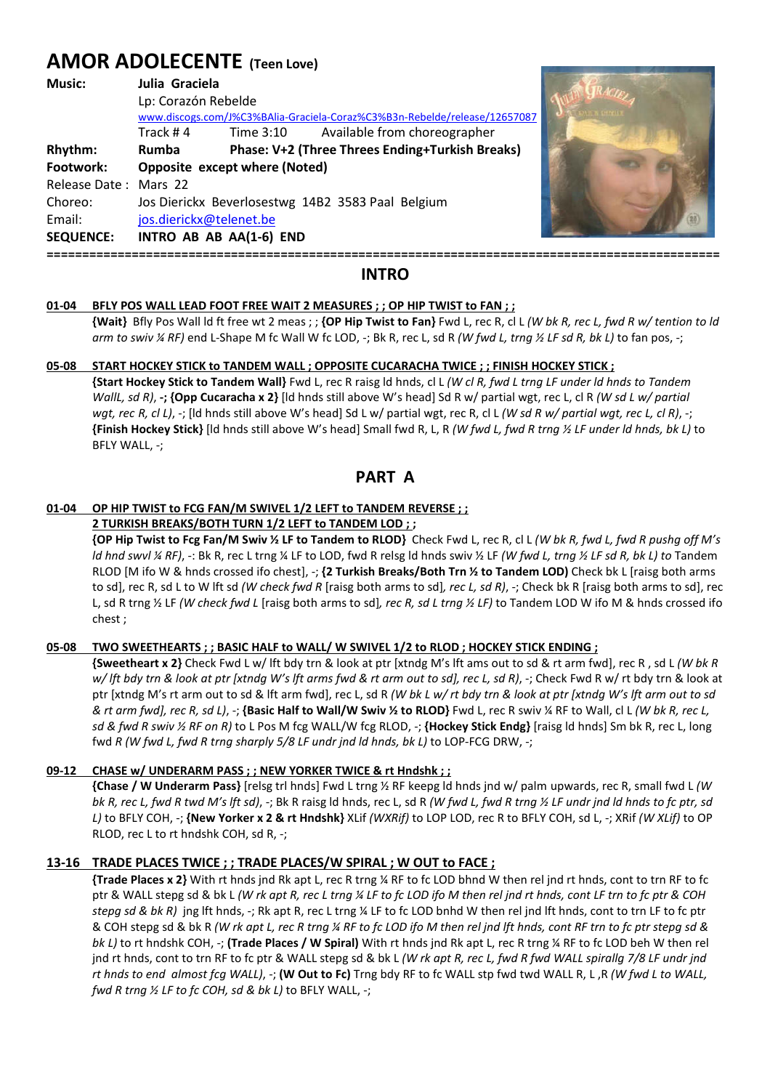# **AMOR ADOLECENTE (Teen Love)**

| <b>Music:</b>         | Julia Graciela<br>Lp: Corazón Rebelde<br>www.discogs.com/J%C3%BAlia-Graciela-Coraz%C3%B3n-Rebelde/release/12657087 |           |                                                 |  |
|-----------------------|--------------------------------------------------------------------------------------------------------------------|-----------|-------------------------------------------------|--|
|                       | Track #4                                                                                                           | Time 3:10 | Available from choreographer                    |  |
| Rhythm:               | <b>Rumba</b>                                                                                                       |           | Phase: V+2 (Three Threes Ending+Turkish Breaks) |  |
| Footwork:             | Opposite except where (Noted)                                                                                      |           |                                                 |  |
| Release Date: Mars 22 |                                                                                                                    |           |                                                 |  |
| Choreo:               | Jos Dierickx Beverlosestwg 14B2 3583 Paal Belgium                                                                  |           |                                                 |  |
| Email:                | jos.dierickx@telenet.be                                                                                            |           |                                                 |  |
| <b>SEQUENCE:</b>      | INTRO AB AB AA(1-6) END                                                                                            |           |                                                 |  |
|                       |                                                                                                                    |           |                                                 |  |



#### **01-04 BFLY POS WALL LEAD FOOT FREE WAIT 2 MEASURES ; ; OP HIP TWIST to FAN ; ;**

 **{Wait}** Bfly Pos Wall ld ft free wt 2 meas ; ; **{OP Hip Twist to Fan}** Fwd L, rec R, cl L *(W bk R, rec L, fwd R w/ tention to ld arm to swiv ¼ RF)* end L-Shape M fc Wall W fc LOD, -; Bk R, rec L, sd R *(W fwd L, trng ½ LF sd R, bk L)* to fan pos, -;

#### **05-08 START HOCKEY STICK to TANDEM WALL ; OPPOSITE CUCARACHA TWICE ; ; FINISH HOCKEY STICK ;**

 **{Start Hockey Stick to Tandem Wall}** Fwd L, rec R raisg ld hnds, cl L *(W cl R, fwd L trng LF under ld hnds to Tandem WallL, sd R)*, **-; {Opp Cucaracha x 2}** [ld hnds still above W's head] Sd R w/ partial wgt, rec L, cl R *(W sd L w/ partial wgt, rec R, cl L)*, -; [ld hnds still above W's head] Sd L w/ partial wgt, rec R, cl L *(W sd R w/ partial wgt, rec L, cl R)*, -; **{Finish Hockey Stick}** [ld hnds still above W's head] Small fwd R, L, R *(W fwd L, fwd R trng ½ LF under ld hnds, bk L)* to BFLY WALL, -;

**PART A** 

#### **01-04 OP HIP TWIST to FCG FAN/M SWIVEL 1/2 LEFT to TANDEM REVERSE ; ;**

#### **2 TURKISH BREAKS/BOTH TURN 1/2 LEFT to TANDEM LOD ; ;**

 **{OP Hip Twist to Fcg Fan/M Swiv ½ LF to Tandem to RLOD}** Check Fwd L, rec R, cl L *(W bk R, fwd L, fwd R pushg off M's ld hnd swvl ¼ RF)*, -: Bk R, rec L trng ¼ LF to LOD, fwd R relsg ld hnds swiv ½ LF *(W fwd L, trng ½ LF sd R, bk L) to* Tandem RLOD [M ifo W & hnds crossed ifo chest], -; **{2 Turkish Breaks/Both Trn ½ to Tandem LOD)** Check bk L [raisg both arms to sd], rec R, sd L to W lft sd *(W check fwd R* [raisg both arms to sd]*, rec L, sd R)*, -; Check bk R [raisg both arms to sd], rec L, sd R trng ½ LF *(W check fwd L* [raisg both arms to sd]*, rec R, sd L trng ½ LF)* to Tandem LOD W ifo M & hnds crossed ifo chest ;

#### **05-08 TWO SWEETHEARTS ; ; BASIC HALF to WALL/ W SWIVEL 1/2 to RLOD ; HOCKEY STICK ENDING ;**

 **{Sweetheart x 2}** Check Fwd L w/ lft bdy trn & look at ptr [xtndg M's lft ams out to sd & rt arm fwd], rec R , sd L *(W bk R w/ lft bdy trn & look at ptr [xtndg W's lft arms fwd & rt arm out to sd], rec L, sd R)*, -; Check Fwd R w/ rt bdy trn & look at ptr [xtndg M's rt arm out to sd & lft arm fwd], rec L, sd R *(W bk L w/ rt bdy trn & look at ptr [xtndg W's lft arm out to sd & rt arm fwd], rec R, sd L)*, -; **{Basic Half to Wall/W Swiv ½ to RLOD}** Fwd L, rec R swiv ¼ RF to Wall, cl L *(W bk R, rec L, sd & fwd R swiv ½ RF on R)* to L Pos M fcg WALL/W fcg RLOD, -; **{Hockey Stick Endg}** [raisg ld hnds] Sm bk R, rec L, long fwd *R (W fwd L, fwd R trng sharply 5/8 LF undr jnd ld hnds, bk L)* to LOP-FCG DRW, -;

### **09-12 CHASE w/ UNDERARM PASS ; ; NEW YORKER TWICE & rt Hndshk ; ;**

 **{Chase / W Underarm Pass}** [relsg trl hnds] Fwd L trng ½ RF keepg ld hnds jnd w/ palm upwards, rec R, small fwd L *(W bk R, rec L, fwd R twd M's lft sd)*, -; Bk R raisg ld hnds, rec L, sd R *(W fwd L, fwd R trng ½ LF undr jnd ld hnds to fc ptr, sd L)* to BFLY COH, -; **{New Yorker x 2 & rt Hndshk}** XLif *(WXRif)* to LOP LOD, rec R to BFLY COH, sd L, -; XRif *(W XLif)* to OP RLOD, rec L to rt hndshk COH, sd R, -;

### **13-16 TRADE PLACES TWICE ; ; TRADE PLACES/W SPIRAL ; W OUT to FACE ;**

 **{Trade Places x 2}** With rt hnds jnd Rk apt L, rec R trng ¼ RF to fc LOD bhnd W then rel jnd rt hnds, cont to trn RF to fc ptr & WALL stepg sd & bk L *(W rk apt R, rec L trng ¼ LF to fc LOD ifo M then rel jnd rt hnds, cont LF trn to fc ptr & COH stepg sd & bk R)* jng lft hnds, -; Rk apt R, rec L trng ¼ LF to fc LOD bnhd W then rel jnd lft hnds, cont to trn LF to fc ptr & COH stepg sd & bk R *(W rk apt L, rec R trng ¼ RF to fc LOD ifo M then rel jnd lft hnds, cont RF trn to fc ptr stepg sd & bk L)* to rt hndshk COH, -; **(Trade Places / W Spiral)** With rt hnds jnd Rk apt L, rec R trng ¼ RF to fc LOD beh W then rel jnd rt hnds, cont to trn RF to fc ptr & WALL stepg sd & bk L *(W rk apt R, rec L, fwd R fwd WALL spirallg 7/8 LF undr jnd rt hnds to end almost fcg WALL)*, -; **(W Out to Fc)** Trng bdy RF to fc WALL stp fwd twd WALL R, L ,R *(W fwd L to WALL, fwd R trng ½ LF to fc COH, sd & bk L)* to BFLY WALL, -;